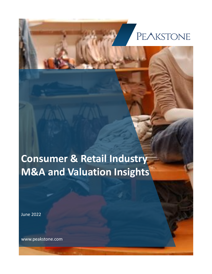## PEAKSTONE

**Consumer & Retail Industry M&A and Valuation Insights**

June 2022

www.peakstone.com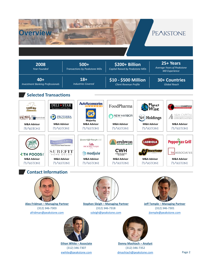

**Alex Fridman – Managing Partner** (312) 346-7303 [afridman@peakstone.com](mailto:afridman@peakstone.com)

**Stephen Sleigh – Managing Partner** (312) 346-7318 [ssleigh@peakstone.com](mailto:ssleigh@peakstone.com)



(312) 346-7301 [jtemple@peakstone.com](mailto:jtemple@peakstone.com) 



**Ethan White – Associate** (312) 346-7307 [ewhite@peakstone.com](mailto:ewhite@peakstone.com)



**Donny Mashiach – Analyst** (312) 346-7352 [dmashiach@peakstone.com](mailto:dmashiach@peakstone.com)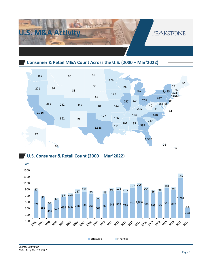

**Consumer & Retail M&A Count Across the U.S. (2000 – Mar'2022)**





*Source: Capital IQ Note: As of Mar 31, 2022*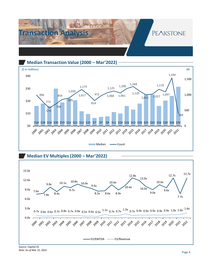

**Median Transaction Value (2000 – Mar'2022)**







*Source: Capital IQ Note: As of Mar 31, 2022*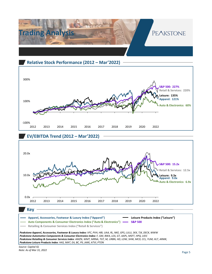

## **Relative Stock Performance (2012 – Mar'2022)**



## **EV/EBITDA Trend (2012 – Mar'2022)**



**Retailing & Consumer Services Index ("Retail & Services")**

*Peakstone Apparel, Accessories, Footwear & Luxury Index: VFC, PVH, HBI, UAA, RL, NKE, GPS, LULU, SKX, TJX, DECK, WWW Peakstone Automotive Components & Consumer Electronics Index: F, GM, BWA, LEA, GT, AAPL, MSFT, HPQ, UEIC Peakstone Retailing & Consumer Services Index: AMZN, WMT, MRNA, TGT, M, URBN, HD, LOW, SHW, MCD, CCL, YUM, HLT, ARMK, Peakstone Leisure Products Index: HAS, MAT, EA, BC, PII, JAKK, ATVI, PTON*

*Source: Capital IQ Note: As of Mar 31, 2022*